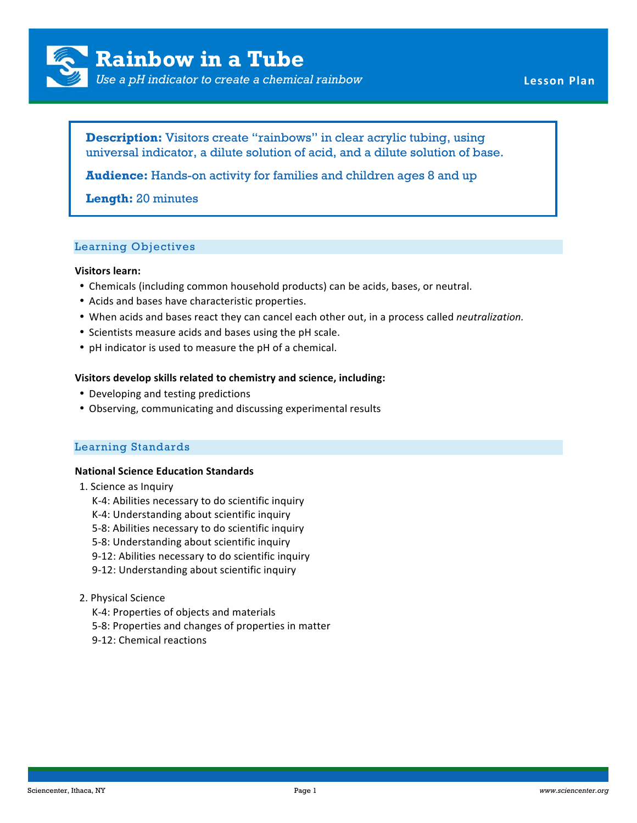

*Use a pH indicator to create a chemical rainbow* **Lesson Plan** 

**Description:** Visitors create "rainbows" in clear acrylic tubing, using universal indicator, a dilute solution of acid, and a dilute solution of base.

**Audience:** Hands-on activity for families and children ages 8 and up

# **Length:** 20 minutes

## Learning Objectives

### **Visitors learn:**

- Chemicals (including common household products) can be acids, bases, or neutral.
- Acids and bases have characteristic properties.
- When acids and bases react they can cancel each other out, in a process called *neutralization*.
- Scientists measure acids and bases using the pH scale.
- pH indicator is used to measure the pH of a chemical.

## Visitors develop skills related to chemistry and science, including:

- Developing and testing predictions
- Observing, communicating and discussing experimental results

## Learning Standards

## **National Science Education Standards**

- 1. Science as Inquiry
	- K-4: Abilities necessary to do scientific inquiry
	- K-4: Understanding about scientific inquiry
	- 5-8: Abilities necessary to do scientific inquiry
	- 5-8: Understanding about scientific inquiry
	- 9-12: Abilities necessary to do scientific inquiry
	- 9-12: Understanding about scientific inquiry

## 2. Physical Science

- K-4: Properties of objects and materials
- 5-8: Properties and changes of properties in matter
- 9-12: Chemical reactions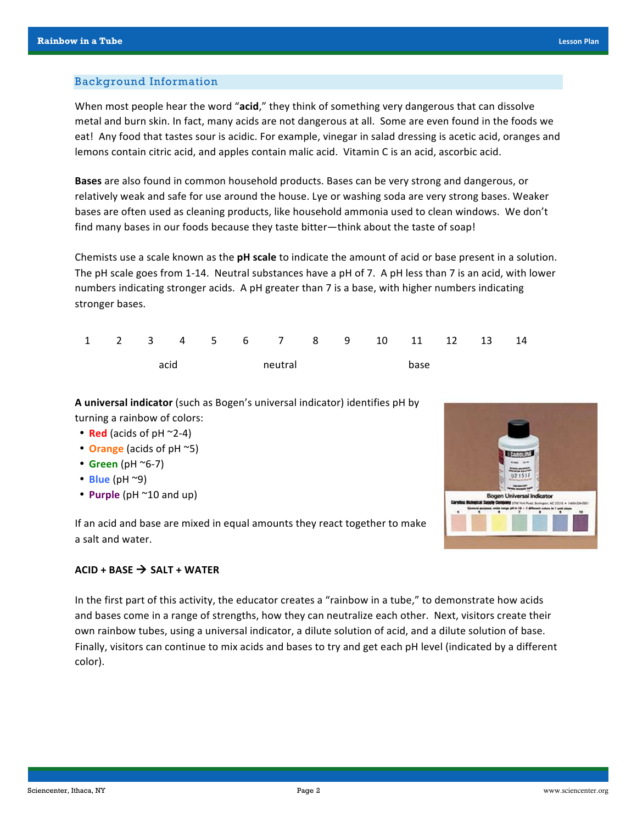## Background Information

When most people hear the word "acid," they think of something very dangerous that can dissolve metal and burn skin. In fact, many acids are not dangerous at all. Some are even found in the foods we eat! Any food that tastes sour is acidic. For example, vinegar in salad dressing is acetic acid, oranges and lemons contain citric acid, and apples contain malic acid. Vitamin C is an acid, ascorbic acid.

**Bases** are also found in common household products. Bases can be very strong and dangerous, or relatively weak and safe for use around the house. Lye or washing soda are very strong bases. Weaker bases are often used as cleaning products, like household ammonia used to clean windows. We don't find many bases in our foods because they taste bitter—think about the taste of soap!

Chemists use a scale known as the **pH scale** to indicate the amount of acid or base present in a solution. The pH scale goes from 1-14. Neutral substances have a pH of 7. A pH less than 7 is an acid, with lower numbers indicating stronger acids. A pH greater than 7 is a base, with higher numbers indicating stronger bases.

|      |  |  |         |  |  |      |  |  | 1 2 3 4 5 6 7 8 9 10 11 12 13 14 |  |  |
|------|--|--|---------|--|--|------|--|--|----------------------------------|--|--|
| acid |  |  | meutral |  |  | base |  |  |                                  |  |  |

**A** universal indicator (such as Bogen's universal indicator) identifies pH by turning a rainbow of colors:

- **Red** (acids of  $pH \sim 2-4$ )
- **Orange** (acids of pH ~5)
- $\cdot$  Green (pH  $\sim$ 6-7)
- $\cdot$  **Blue** (pH  $\sim$ 9)
- **Purple** (pH ~10 and up)

If an acid and base are mixed in equal amounts they react together to make a salt and water.



In the first part of this activity, the educator creates a "rainbow in a tube," to demonstrate how acids and bases come in a range of strengths, how they can neutralize each other. Next, visitors create their own rainbow tubes, using a universal indicator, a dilute solution of acid, and a dilute solution of base. Finally, visitors can continue to mix acids and bases to try and get each pH level (indicated by a different color).

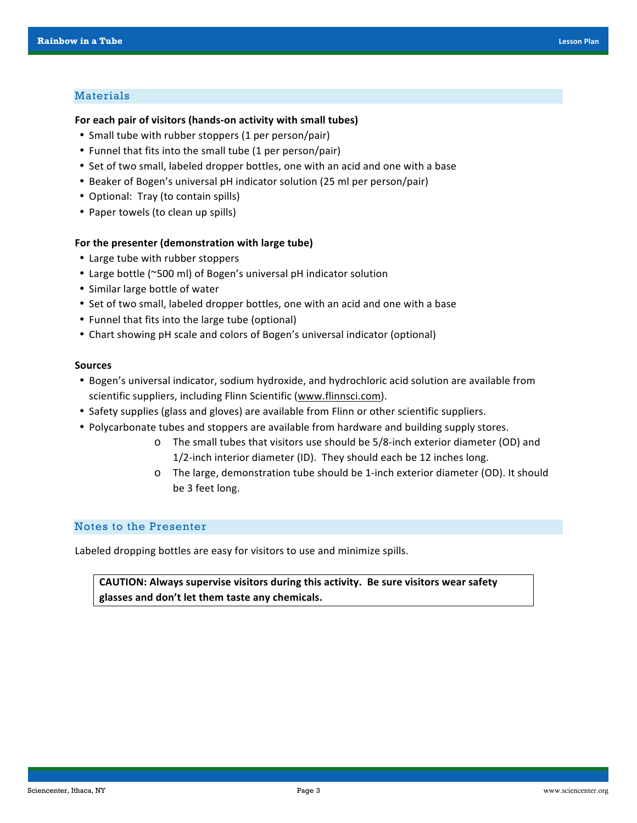## Materials

#### For each pair of visitors (hands-on activity with small tubes)

- Small tube with rubber stoppers (1 per person/pair)
- Funnel that fits into the small tube (1 per person/pair)
- Set of two small, labeled dropper bottles, one with an acid and one with a base
- Beaker of Bogen's universal pH indicator solution (25 ml per person/pair)
- Optional: Tray (to contain spills)
- Paper towels (to clean up spills)

### For the presenter (demonstration with large tube)

- Large tube with rubber stoppers
- Large bottle (~500 ml) of Bogen's universal pH indicator solution
- Similar large bottle of water
- Set of two small, labeled dropper bottles, one with an acid and one with a base
- Funnel that fits into the large tube (optional)
- Chart showing pH scale and colors of Bogen's universal indicator (optional)

### **Sources**

- Bogen's universal indicator, sodium hydroxide, and hydrochloric acid solution are available from scientific suppliers, including Flinn Scientific (www.flinnsci.com).
- Safety supplies (glass and gloves) are available from Flinn or other scientific suppliers.
- Polycarbonate tubes and stoppers are available from hardware and building supply stores.
	- o The small tubes that visitors use should be 5/8-inch exterior diameter (OD) and 1/2-inch interior diameter (ID). They should each be 12 inches long.
	- o The large, demonstration tube should be 1-inch exterior diameter (OD). It should be 3 feet long.

## Notes to the Presenter

Labeled dropping bottles are easy for visitors to use and minimize spills.

CAUTION: Always supervise visitors during this activity. Be sure visitors wear safety glasses and don't let them taste any chemicals.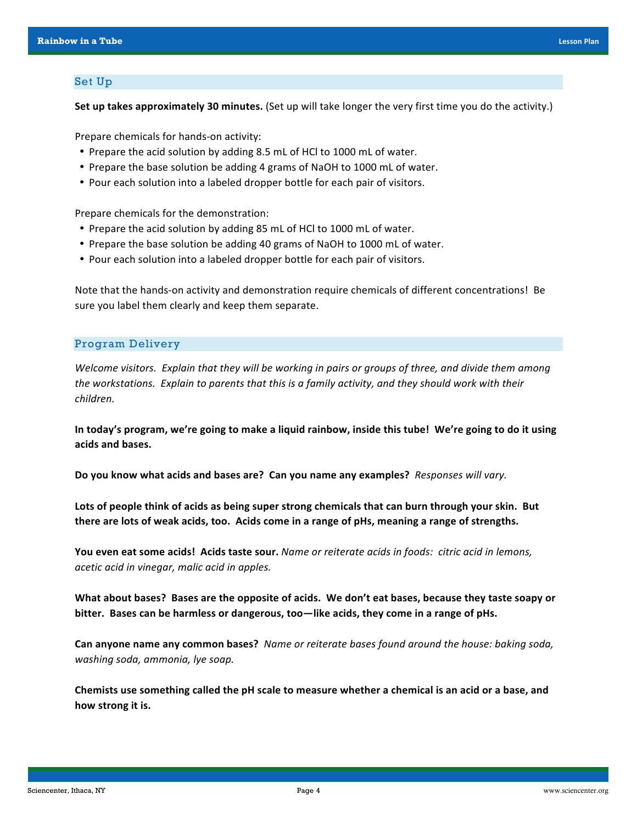## Set Up

**Set up takes approximately 30 minutes.** (Set up will take longer the very first time you do the activity.)

Prepare chemicals for hands-on activity:

- Prepare the acid solution by adding 8.5 mL of HCl to 1000 mL of water.
- Prepare the base solution be adding 4 grams of NaOH to 1000 mL of water.
- Pour each solution into a labeled dropper bottle for each pair of visitors.

Prepare chemicals for the demonstration:

- Prepare the acid solution by adding 85 mL of HCl to 1000 mL of water.
- Prepare the base solution be adding 40 grams of NaOH to 1000 mL of water.
- Pour each solution into a labeled dropper bottle for each pair of visitors.

Note that the hands-on activity and demonstration require chemicals of different concentrations! Be sure you label them clearly and keep them separate.

## Program Delivery

*Welcome visitors. Explain that they will be working in pairs or groups of three, and divide them among* the workstations. Explain to parents that this is a family activity, and they should work with their *children.*

In today's program, we're going to make a liquid rainbow, inside this tube! We're going to do it using acids and bases.

Do you know what acids and bases are? Can you name any examples? Responses will vary.

Lots of people think of acids as being super strong chemicals that can burn through your skin. But there are lots of weak acids, too. Acids come in a range of pHs, meaning a range of strengths.

You even eat some acids! Acids taste sour. *Name or reiterate acids in foods: citric acid in lemons, acetic/acid/in/vinegar,/malic/acid/in/apples.*

What about bases? Bases are the opposite of acids. We don't eat bases, because they taste soapy or bitter. Bases can be harmless or dangerous, too—like acids, they come in a range of pHs.

**Can anyone name any common bases?** Name or reiterate bases found around the house: baking soda, *washing soda, ammonia, lye soap.* 

Chemists use something called the pH scale to measure whether a chemical is an acid or a base, and how strong it is.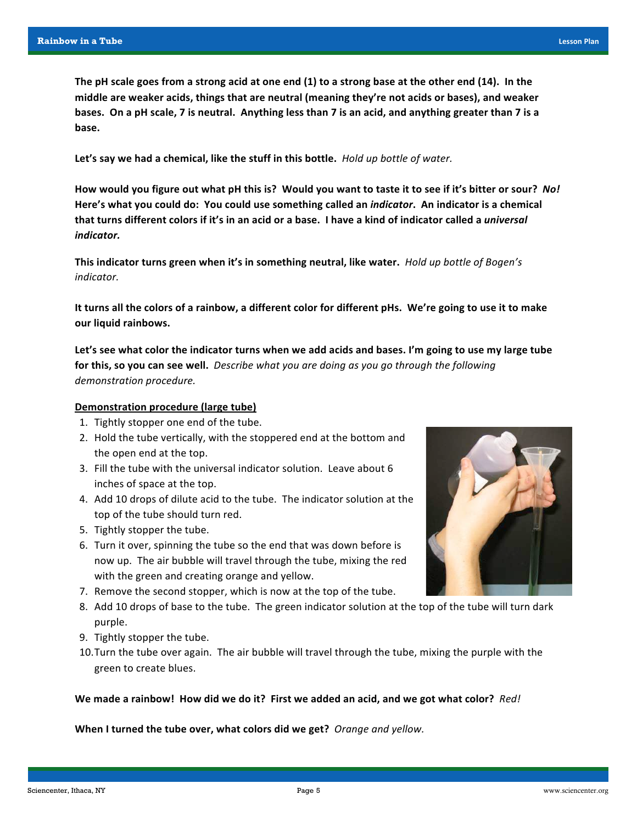The pH scale goes from a strong acid at one end (1) to a strong base at the other end (14). In the middle are weaker acids, things that are neutral (meaning they're not acids or bases), and weaker bases. On a pH scale, 7 is neutral. Anything less than 7 is an acid, and anything greater than 7 is a base.

Let's say we had a chemical, like the stuff in this bottle. *Hold up bottle of water.* 

How would you figure out what pH this is? Would you want to taste it to see if it's bitter or sour? No! Here's what you could do: You could use something called an *indicator*. An indicator is a chemical that turns different colors if it's in an acid or a base. I have a kind of indicator called a *universal indicator.*

This indicator turns green when it's in something neutral, like water. Hold up bottle of Bogen's *indicator.*

It turns all the colors of a rainbow, a different color for different pHs. We're going to use it to make our liquid rainbows.

Let's see what color the indicator turns when we add acids and bases. I'm going to use my large tube for this, so you can see well. *Describe what you are doing as you go through the following demonstration procedure.* 

### **Demonstration procedure (large tube)**

- 1. Tightly stopper one end of the tube.
- 2. Hold the tube vertically, with the stoppered end at the bottom and the open end at the top.
- 3. Fill the tube with the universal indicator solution. Leave about 6 inches of space at the top.
- 4. Add 10 drops of dilute acid to the tube. The indicator solution at the top of the tube should turn red.
- 5. Tightly stopper the tube.
- 6. Turn it over, spinning the tube so the end that was down before is now up. The air bubble will travel through the tube, mixing the red with the green and creating orange and yellow.
- 7. Remove the second stopper, which is now at the top of the tube.
- 8. Add 10 drops of base to the tube. The green indicator solution at the top of the tube will turn dark purple.
- 9. Tightly stopper the tube.
- 10. Turn the tube over again. The air bubble will travel through the tube, mixing the purple with the green to create blues.

We made a rainbow! How did we do it? First we added an acid, and we got what color? Red!

When I turned the tube over, what colors did we get? *Orange and yellow.* 

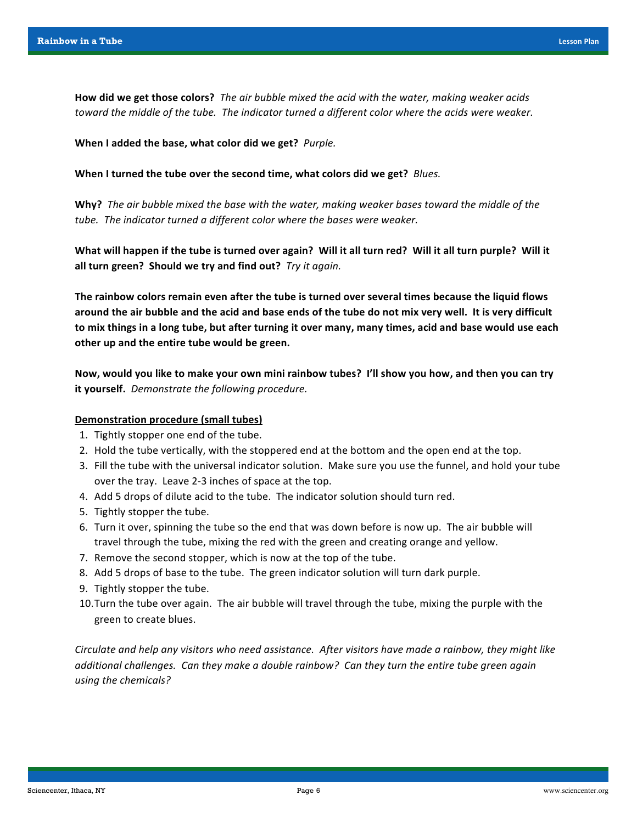How did we get those colors? *The air bubble mixed the acid with the water, making weaker acids* toward the middle of the tube. The indicator turned a different color where the acids were weaker.

When I added the base, what color did we get? Purple.

When I turned the tube over the second time, what colors did we get? *Blues.* 

**Why?** The air bubble mixed the base with the water, making weaker bases toward the middle of the *tube.* The indicator turned a different color where the bases were weaker.

What will happen if the tube is turned over again? Will it all turn red? Will it all turn purple? Will it all turn green? Should we try and find out? *Try it again.* 

The rainbow colors remain even after the tube is turned over several times because the liquid flows around the air bubble and the acid and base ends of the tube do not mix very well. It is very difficult to mix things in a long tube, but after turning it over many, many times, acid and base would use each other up and the entire tube would be green.

Now, would you like to make your own mini rainbow tubes? I'll show you how, and then you can try **it yourself.** Demonstrate the following procedure.

## **Demonstration procedure (small tubes)**

- 1. Tightly stopper one end of the tube.
- 2. Hold the tube vertically, with the stoppered end at the bottom and the open end at the top.
- 3. Fill the tube with the universal indicator solution. Make sure you use the funnel, and hold your tube over the tray. Leave 2-3 inches of space at the top.
- 4. Add 5 drops of dilute acid to the tube. The indicator solution should turn red.
- 5. Tightly stopper the tube.
- 6. Turn it over, spinning the tube so the end that was down before is now up. The air bubble will travel through the tube, mixing the red with the green and creating orange and yellow.
- 7. Remove the second stopper, which is now at the top of the tube.
- 8. Add 5 drops of base to the tube. The green indicator solution will turn dark purple.
- 9. Tightly stopper the tube.
- 10. Turn the tube over again. The air bubble will travel through the tube, mixing the purple with the green to create blues.

*Circulate and help any visitors who need assistance. After visitors have made a rainbow, they might like additional challenges. Can they make a double rainbow? Can they turn the entire tube green again using the chemicals?*